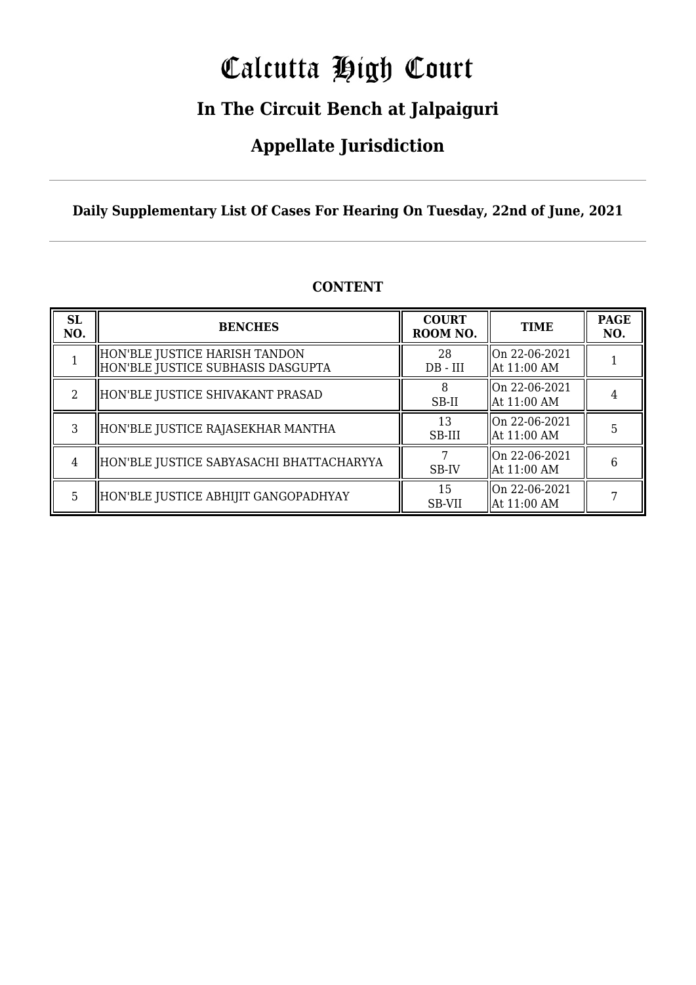# Calcutta High Court

### **In The Circuit Bench at Jalpaiguri**

### **Appellate Jurisdiction**

**Daily Supplementary List Of Cases For Hearing On Tuesday, 22nd of June, 2021**

| <b>SL</b><br>NO.            | <b>BENCHES</b>                                                     | <b>COURT</b><br>ROOM NO. | <b>TIME</b>                    | <b>PAGE</b><br>NO. |
|-----------------------------|--------------------------------------------------------------------|--------------------------|--------------------------------|--------------------|
|                             | HON'BLE JUSTICE HARISH TANDON<br>HON'BLE JUSTICE SUBHASIS DASGUPTA | 28<br>$DB - III$         | On 22-06-2021<br>  At 11:00 AM |                    |
| $\mathcal{D}_{\mathcal{L}}$ | HON'BLE JUSTICE SHIVAKANT PRASAD                                   | SB-II                    | On 22-06-2021<br>  At 11:00 AM |                    |
| 3                           | HON'BLE JUSTICE RAJASEKHAR MANTHA                                  | 13<br>SB-III             | On 22-06-2021<br>  At 11:00 AM |                    |
| $\overline{4}$              | HON'BLE JUSTICE SABYASACHI BHATTACHARYYA                           | SB-IV                    | On 22-06-2021<br>  At 11:00 AM | 6                  |
| 5.                          | HON'BLE JUSTICE ABHIJIT GANGOPADHYAY                               | 15<br>SB-VII             | On 22-06-2021<br>  At 11:00 AM |                    |

#### **CONTENT**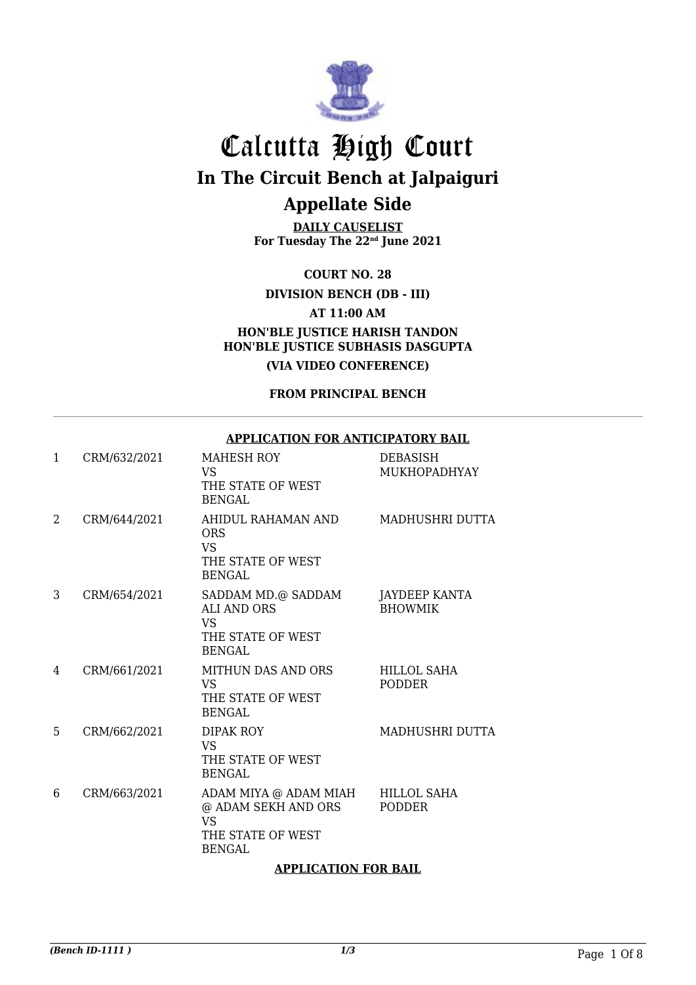

**DAILY CAUSELIST For Tuesday The 22nd June 2021**

**COURT NO. 28**

**DIVISION BENCH (DB - III)**

**AT 11:00 AM**

**HON'BLE JUSTICE HARISH TANDON HON'BLE JUSTICE SUBHASIS DASGUPTA**

**(VIA VIDEO CONFERENCE)**

**FROM PRINCIPAL BENCH**

#### **APPLICATION FOR ANTICIPATORY BAIL**

| $\mathbf{1}$ | CRM/632/2021 | <b>MAHESH ROY</b><br>VS<br>THE STATE OF WEST<br><b>BENGAL</b>                                   | DEBASISH<br><b>MUKHOPADHYAY</b>        |
|--------------|--------------|-------------------------------------------------------------------------------------------------|----------------------------------------|
| 2            | CRM/644/2021 | AHIDUL RAHAMAN AND<br><b>ORS</b><br><b>VS</b><br>THE STATE OF WEST<br><b>BENGAL</b>             | MADHUSHRI DUTTA                        |
| 3            | CRM/654/2021 | SADDAM MD.@ SADDAM<br><b>ALI AND ORS</b><br>VS.<br>THE STATE OF WEST<br>BENGAL                  | <b>JAYDEEP KANTA</b><br><b>BHOWMIK</b> |
| 4            | CRM/661/2021 | <b>MITHUN DAS AND ORS</b><br><b>VS</b><br>THE STATE OF WEST<br><b>BENGAL</b>                    | <b>HILLOL SAHA</b><br><b>PODDER</b>    |
| 5            | CRM/662/2021 | <b>DIPAK ROY</b><br><b>VS</b><br>THE STATE OF WEST<br><b>BENGAL</b>                             | MADHUSHRI DUTTA                        |
| 6            | CRM/663/2021 | ADAM MIYA @ ADAM MIAH<br>@ ADAM SEKH AND ORS<br><b>VS</b><br>THE STATE OF WEST<br><b>BENGAL</b> | <b>HILLOL SAHA</b><br><b>PODDER</b>    |

#### **APPLICATION FOR BAIL**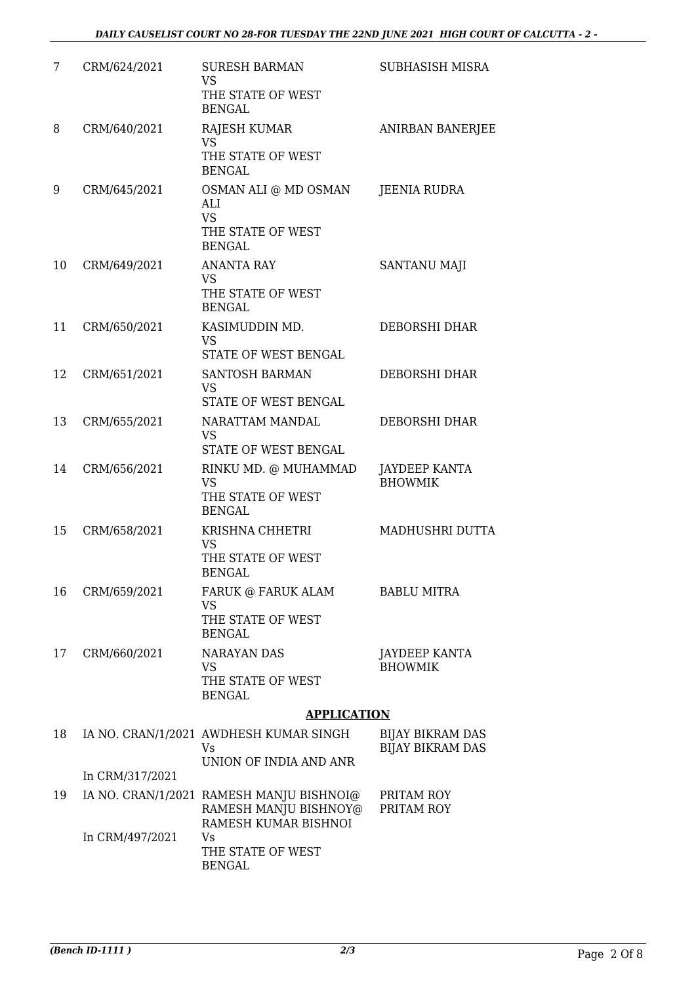| 7  | CRM/624/2021    | <b>SURESH BARMAN</b><br><b>VS</b><br>THE STATE OF WEST<br><b>BENGAL</b>                         | SUBHASISH MISRA                                    |
|----|-----------------|-------------------------------------------------------------------------------------------------|----------------------------------------------------|
| 8  | CRM/640/2021    | RAJESH KUMAR<br><b>VS</b><br>THE STATE OF WEST<br><b>BENGAL</b>                                 | ANIRBAN BANERJEE                                   |
| 9  | CRM/645/2021    | OSMAN ALI @ MD OSMAN<br>ALI<br><b>VS</b>                                                        | JEENIA RUDRA                                       |
|    |                 | THE STATE OF WEST<br><b>BENGAL</b>                                                              |                                                    |
| 10 | CRM/649/2021    | <b>ANANTA RAY</b><br><b>VS</b><br>THE STATE OF WEST<br><b>BENGAL</b>                            | SANTANU MAJI                                       |
| 11 | CRM/650/2021    | KASIMUDDIN MD.<br><b>VS</b><br>STATE OF WEST BENGAL                                             | DEBORSHI DHAR                                      |
| 12 | CRM/651/2021    | <b>SANTOSH BARMAN</b><br><b>VS</b><br>STATE OF WEST BENGAL                                      | DEBORSHI DHAR                                      |
| 13 | CRM/655/2021    | NARATTAM MANDAL<br><b>VS</b><br>STATE OF WEST BENGAL                                            | <b>DEBORSHI DHAR</b>                               |
| 14 | CRM/656/2021    | RINKU MD. @ MUHAMMAD<br><b>VS</b><br>THE STATE OF WEST<br><b>BENGAL</b>                         | JAYDEEP KANTA<br><b>BHOWMIK</b>                    |
| 15 | CRM/658/2021    | KRISHNA CHHETRI<br><b>VS</b><br>THE STATE OF WEST<br><b>BENGAL</b>                              | MADHUSHRI DUTTA                                    |
| 16 | CRM/659/2021    | FARUK @ FARUK ALAM<br>VS.<br>THE STATE OF WEST<br><b>BENGAL</b>                                 | <b>BABLU MITRA</b>                                 |
| 17 | CRM/660/2021    | <b>NARAYAN DAS</b><br><b>VS</b><br>THE STATE OF WEST<br><b>BENGAL</b>                           | JAYDEEP KANTA<br><b>BHOWMIK</b>                    |
|    |                 | <b>APPLICATION</b>                                                                              |                                                    |
| 18 |                 | IA NO. CRAN/1/2021 AWDHESH KUMAR SINGH<br>Vs<br>UNION OF INDIA AND ANR                          | <b>BIJAY BIKRAM DAS</b><br><b>BIJAY BIKRAM DAS</b> |
|    | In CRM/317/2021 |                                                                                                 |                                                    |
| 19 | In CRM/497/2021 | IA NO. CRAN/1/2021 RAMESH MANJU BISHNOI@<br>RAMESH MANJU BISHNOY@<br>RAMESH KUMAR BISHNOI<br>Vs | PRITAM ROY<br>PRITAM ROY                           |
|    |                 | THE STATE OF WEST<br><b>BENGAL</b>                                                              |                                                    |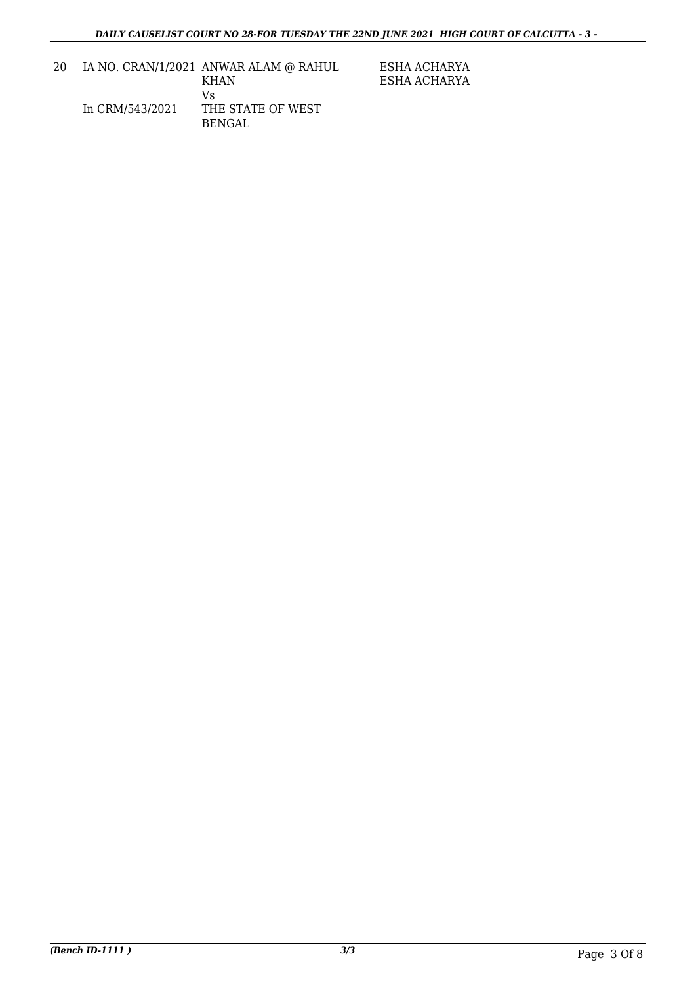ESHA ACHARYA ESHA ACHARYA

| 20 |                 | IA NO. CRAN/1/2021 ANWAR ALAM @ RAHUL |
|----|-----------------|---------------------------------------|
|    |                 | KHAN                                  |
|    |                 | Vs                                    |
|    | In CRM/543/2021 | THE STATE OF WEST                     |
|    |                 | BENGAL                                |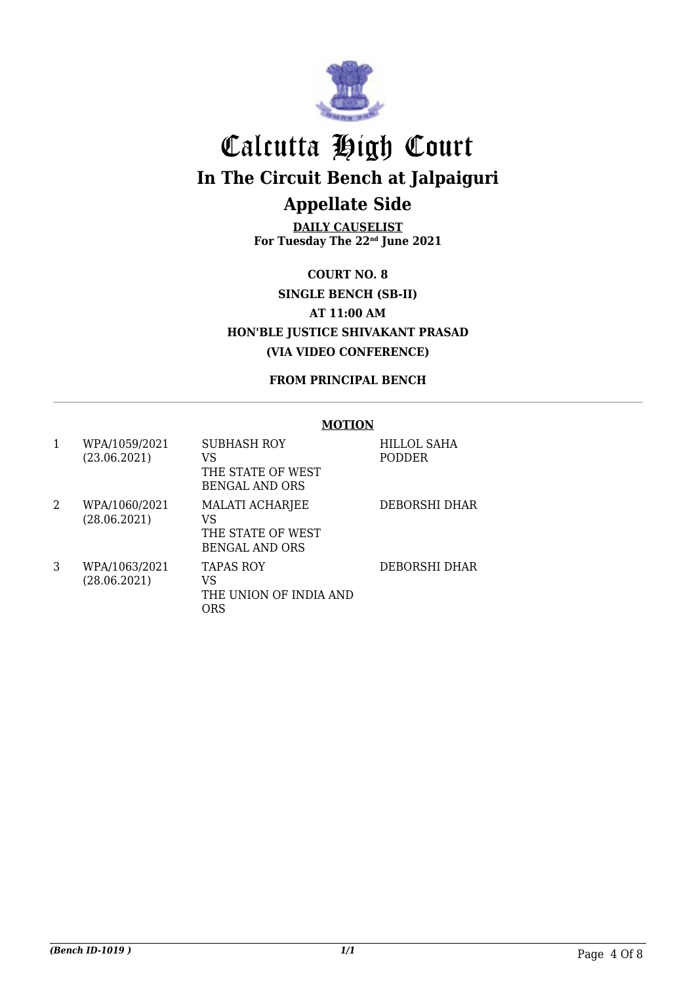

**DAILY CAUSELIST For Tuesday The 22nd June 2021**

**COURT NO. 8 SINGLE BENCH (SB-II) AT 11:00 AM HON'BLE JUSTICE SHIVAKANT PRASAD (VIA VIDEO CONFERENCE)**

#### **FROM PRINCIPAL BENCH**

#### **MOTION**

| 1 | WPA/1059/2021<br>(23.06.2021) | <b>SUBHASH ROY</b><br>VS<br>THE STATE OF WEST<br><b>BENGAL AND ORS</b> | HILLOL SAHA<br><b>PODDER</b> |
|---|-------------------------------|------------------------------------------------------------------------|------------------------------|
| 2 | WPA/1060/2021<br>(28.06.2021) | MALATI ACHARJEE<br>VS<br>THE STATE OF WEST<br><b>BENGAL AND ORS</b>    | DEBORSHI DHAR                |
| 3 | WPA/1063/2021<br>(28.06.2021) | <b>TAPAS ROY</b><br>VS<br>THE UNION OF INDIA AND<br>ORS                | <b>DEBORSHI DHAR</b>         |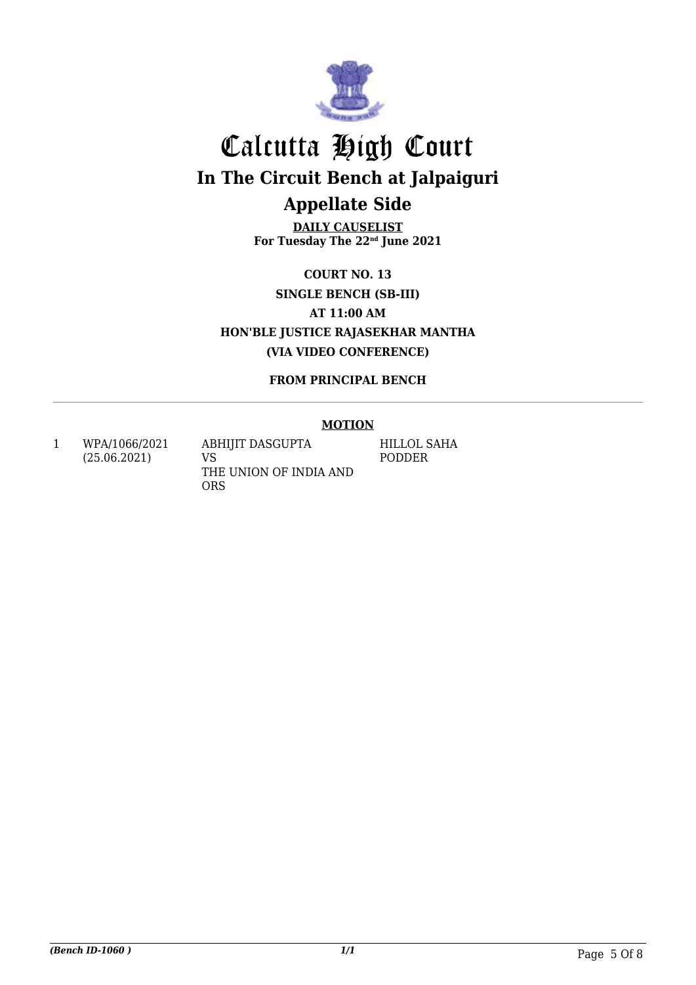

**DAILY CAUSELIST For Tuesday The 22nd June 2021**

**COURT NO. 13 SINGLE BENCH (SB-III) AT 11:00 AM HON'BLE JUSTICE RAJASEKHAR MANTHA (VIA VIDEO CONFERENCE)**

**FROM PRINCIPAL BENCH**

#### **MOTION**

1 WPA/1066/2021 (25.06.2021)

ABHIJIT DASGUPTA VS THE UNION OF INDIA AND ORS

HILLOL SAHA PODDER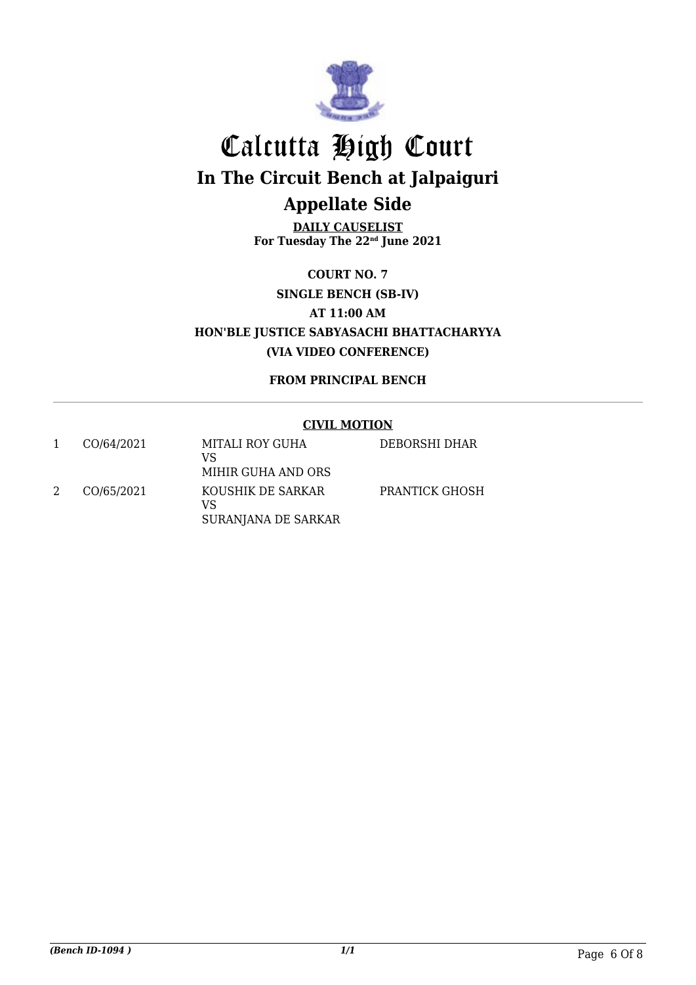

**DAILY CAUSELIST For Tuesday The 22nd June 2021**

**COURT NO. 7 SINGLE BENCH (SB-IV) AT 11:00 AM HON'BLE JUSTICE SABYASACHI BHATTACHARYYA (VIA VIDEO CONFERENCE)**

**FROM PRINCIPAL BENCH**

#### **CIVIL MOTION**

| CO/64/2021 | MITALI ROY GUHA<br>VS<br>MIHIR GUHA AND ORS    | DEBORSHI DHAR  |
|------------|------------------------------------------------|----------------|
| CO/65/2021 | KOUSHIK DE SARKAR<br>VS<br>SURANJANA DE SARKAR | PRANTICK GHOSH |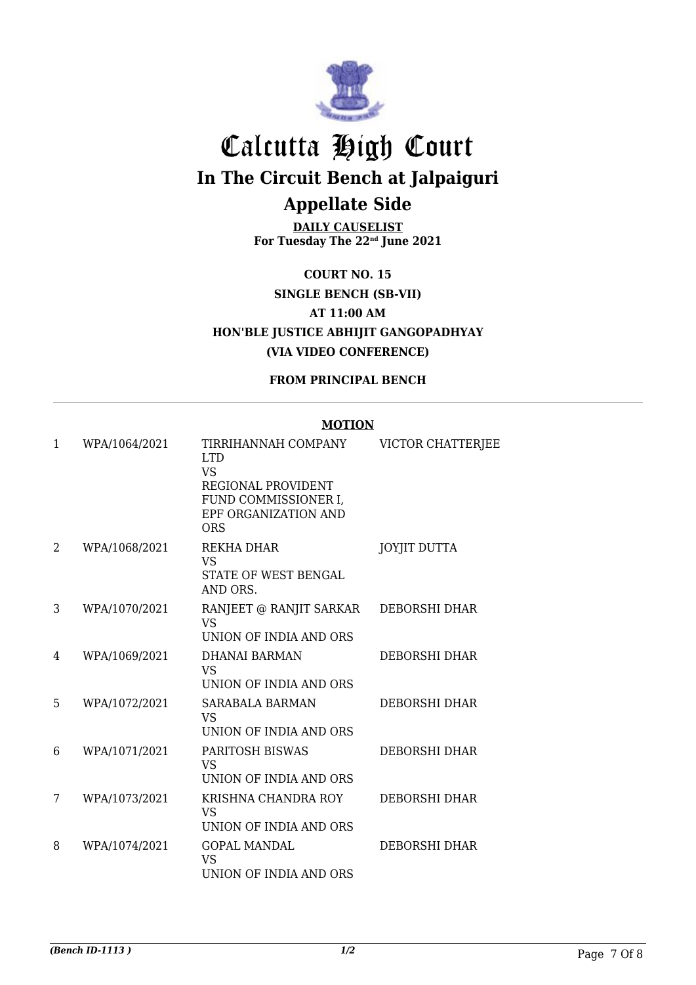

**DAILY CAUSELIST For Tuesday The 22nd June 2021**

**COURT NO. 15 SINGLE BENCH (SB-VII) AT 11:00 AM HON'BLE JUSTICE ABHIJIT GANGOPADHYAY (VIA VIDEO CONFERENCE)**

**FROM PRINCIPAL BENCH**

#### **MOTION**

| 1 | WPA/1064/2021 | TIRRIHANNAH COMPANY                                                | <b>VICTOR CHATTERJEE</b> |
|---|---------------|--------------------------------------------------------------------|--------------------------|
|   |               | <b>LTD</b><br><b>VS</b><br>REGIONAL PROVIDENT                      |                          |
|   |               | FUND COMMISSIONER I,<br>EPF ORGANIZATION AND<br>ORS                |                          |
| 2 | WPA/1068/2021 | REKHA DHAR<br><b>VS</b><br><b>STATE OF WEST BENGAL</b><br>AND ORS. | <b>JOYJIT DUTTA</b>      |
| 3 | WPA/1070/2021 | RANJEET @ RANJIT SARKAR<br><b>VS</b><br>UNION OF INDIA AND ORS     | <b>DEBORSHI DHAR</b>     |
| 4 | WPA/1069/2021 | DHANAI BARMAN<br><b>VS</b><br>UNION OF INDIA AND ORS               | <b>DEBORSHI DHAR</b>     |
| 5 | WPA/1072/2021 | <b>SARABALA BARMAN</b><br><b>VS</b><br>UNION OF INDIA AND ORS      | <b>DEBORSHI DHAR</b>     |
| 6 | WPA/1071/2021 | PARITOSH BISWAS<br><b>VS</b><br>UNION OF INDIA AND ORS             | <b>DEBORSHI DHAR</b>     |
| 7 | WPA/1073/2021 | KRISHNA CHANDRA ROY<br><b>VS</b><br>UNION OF INDIA AND ORS         | <b>DEBORSHI DHAR</b>     |
| 8 | WPA/1074/2021 | <b>GOPAL MANDAL</b><br><b>VS</b><br>UNION OF INDIA AND ORS         | <b>DEBORSHI DHAR</b>     |